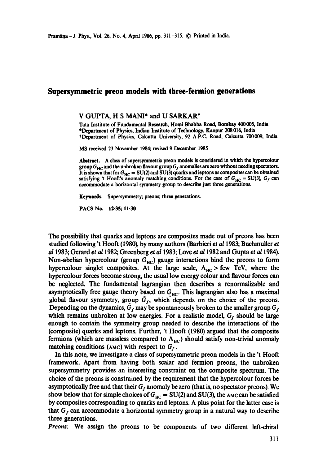## **Supersymmetric preon models with three-fermion generations**

V GUPTA, H S MANI\* and U SARKAR?

Tata Institute of Fundamental Research, Homi Bhabha Road, Bombay 400005, India \*Department of Physics, Indian Institute of Technology, Kanpur 208016, India \*Department of Physics, Calcutta University, 92 A.P.C. Road, Calcutta 700009, India

MS received 23 November 1984; revised 9 December 1985

Abstract. A class of supersymmetric preon models is considered in which the hypercolour group  $G_{HC}$  and the unbroken flavour group  $G_f$  anomalies are zero without needing spectators. It is shown that for  $G_{HC} = SU(2)$  and SU(3) quarks and leptons as composites can be obtained satisfying 't Hooft's anomaly matching conditions. For the case of  $G_{HC} = SU(3)$ ,  $G_f$  can accommodate a horizontal symmetry group to describe just three generations.

Keywords. Supersymmetry; preons; three generations.

**PACS No. 12.35; 11.30** 

The possibility that quarks and leptons are composites made out of preons has been studied following 't Hooft (1980), by many authors (Barbieri *et al* 1983; Buchmuller *et a11983;* Gerard *et a11982;* Greenberg *et a11983;* Love *et a11982* and Gupta *et a11984).*  Non-abelian hypercolour (group  $G_{HC}$ ) gauge interactions bind the preons to form hypercolour singlet composites. At the large scale,  $\Lambda_{HC}$  > few TeV, where the hypercolour forces become strong, the usual low energy colour and flavour forces can be neglected. The fundamental lagrangian then describes a renormalizable and asymptotically free gauge theory based on  $G_{HC}$ . This lagrangian also has a maximal global flavour symmetry, group  $\tilde{G}_f$ , which depends on the choice of the preons. Depending on the dynamics,  $G_f$  may be spontaneously broken to the smaller group  $G_f$ which remains unbroken at low energies. For a realistic model,  $G_f$  should be large enough to contain the symmetry group needed to describe the interactions of the (composite) quarks and leptons. Further, 't Hooft (1980) argued that the composite fermions (which are massless compared to  $\Lambda_{HC}$ ) should satisfy non-trivial anomaly matching conditions (AMC) with respect to  $G_f$ .

In this note, we investigate a class of supersymmetric preon models in the 't Hooft framework. Apart from having both scalar and fermion preons, the unbroken supersymmetry provides an interesting constraint on the composite spectrum. The choice of the preons is constrained by the requirement that the hypercolour forces be asymptotically free and that their  $G_f$  anomaly be zero (that is, no spectator preons). We show below that for simple choices of  $G_{HC} = SU(2)$  and  $SU(3)$ , the AMc can be satisfied by composites corresponding to quarks and leptons. A plus point for the latter case is that  $G_f$  can accommodate a horizontal symmetry group in a natural way to describe three generations.

*Preons:* We assign the preons to be components of two different left-chiral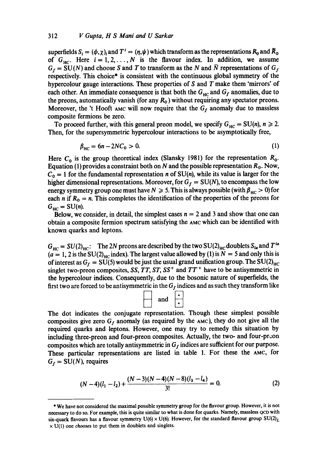superfields  $S_i = (\phi, \chi)_i$  and  $T^i = (\eta, \psi)$  which transform as the representations  $R_0$  and  $\overline{R}_0$ of  $G_{HC}$ . Here  $i = 1, 2, ..., N$  is the flavour index. In addition, we assume  $G_f = SU(N)$  and choose S and T to transform as the N and  $\overline{N}$  representations of  $G_f$ respectively. This choice\* is consistent with the continuous global symmetry of the hypercolour gauge interactions. These properties of S and T make them 'mirrors' of each other. An immediate consequence is that both the  $G_{\text{HC}}$  and  $G_f$  anomalies, due to the preons, automatically vanish (for any  $R_0$ ) without requiring any spectator preons. Moreover, the 't Hooft AMC will now require that the  $G_f$  anomaly due to massless composite fermions be zero.

To proceed further, with this general preon model, we specify  $G_{HC} = SU(n)$ ,  $n \ge 2$ . Then, for the supersymmetric hypercolour interactions to be asymptotically free,

$$
\beta_{\rm HC} = 6n - 2NC_0 > 0. \tag{1}
$$

Here  $C_0$  is the group theoretical index (Slansky 1981) for the representation  $R_0$ . Equation (1) provides a constraint both on N and the possible representation  $R_0$ . Now,  $C_0 = 1$  for the fundamental representation *n* of SU(*n*), while its value is larger for the higher dimensional representations. Moreover, for  $G_f = SU(N)$ , to encompass the low energy symmetry group one must have  $N \ge 5$ . This is always possible (with  $\beta_{HC} > 0$ ) for each n if  $R_0 = n$ . This completes the identification of the properties of the preons for  $G_{\text{HC}} = \text{SU}(n)$ .

Below, we consider, in detail, the simplest cases  $n = 2$  and 3 and show that one can obtain a composite fermion spectrum satisfying the AMC which can be identified with known quarks and leptons.

 $G_{\text{HC}} = SU(2)_{\text{HC}}$ : The 2N preons are described by the two SU(2)<sub>HC</sub> doublets S<sub>ia</sub> and T<sup>ia</sup>  $(a = 1, 2 \text{ is the SU(2)}_{\text{HC}})$  index). The largest value allowed by (1) is  $N = 5$  and only this is of interest as  $G_f = \overline{SU(5)}$  would be just the usual grand unification group. The SU(2)<sub>HC</sub> singlet two-preon composites, *SS*, *TT*, *ST*, *SS*<sup>+</sup> and  $TT$ <sup>+</sup> have to be antisymmetric in the hypercolour indices. Consequently, due to the bosonic nature of superfields, the first two are forced to be antisymmetric in the  $G_f$  indices and as such they transform like



The dot indicates the conjugate representation. Though these simplest possible composites give zero  $G_f$  anomaly (as required by the AMC), they do not give all the required quarks and leptons. However, one may try to remedy this situation by including three-preon and four-preon composites. Actually, the two- and four-proon composites which are totally antisymmetric in  $G_f$  indices are sufficient for our purpose. These particular representations are listed in table 1. For these the AMC, for  $G_f = SU(N)$ , requires

$$
(N-4)(l_1-l_2)+\frac{(N-3)(N-4)(N-8)(l_3-l_4)}{3!}=0.
$$
 (2)

<sup>\*</sup> We have not considered the maximal possible symmetry group for the flavour group. However, it is not necessary to do so. For example, this is quite similar to what is done for quarks. Namely, massless QCD with six-quark flavours has a flavour symmetry  $U(6) \times U(6)$ . However, for the standard flavour group  $SU(2)_L$  $\times$  U(1) one *chooses* to put them in doublets and singlets.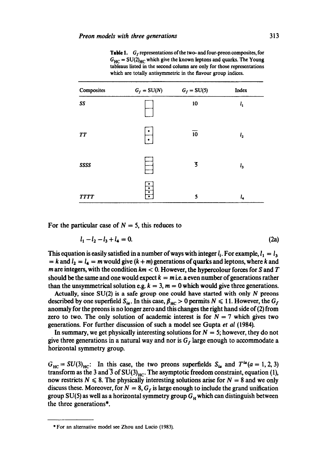**Table 1.**  $G_f$  representations of the two- and four-preon composites, for  $G_{HC} = SU(2)_{HC}$  which give the known leptons and quarks. The Young tableaus listed in the second column are only for those representations which are totally antisymmetric in the flavour group indices.

| Composites  | $G_f=\mathrm{SU}(N)$ | $G_f = SU(5)$           | Index   |
|-------------|----------------------|-------------------------|---------|
| SS          |                      | $10\,$                  | $l_{1}$ |
| <b>TT</b>   |                      | $\overline{10}$         | $l_{2}$ |
| SSSS        |                      | $\overline{\mathbf{5}}$ | 1,      |
| <b>TTTT</b> | $\overline{\bullet}$ | 5                       | 1,      |

For the particular case of  $N = 5$ , this reduces to

$$
l_1 - l_2 - l_3 + l_4 = 0. \tag{2a}
$$

This equation is easily satisfied in a number of ways with integer  $l_i$ . For example,  $l_1 = l_3$  $= k$  and  $l_2 = l_4 = m$  would give  $(k + m)$  generations of quarks and leptons, where k and m are integers, with the condition  $km < 0$ . However, the hypercolour forces for S and T should be the same and one would expect  $k = m$  i.e. a even number of generations rather than the unsymmetrical solution e.g.  $k = 3$ ,  $m = 0$  which would give three generations.

Actually, since  $SU(2)$  is a safe group one could have started with only  $N$  preons described by one superfield  $S_{ia}$ . In this case,  $\beta_{HC} > 0$  permits  $N \le 11$ . However, the  $G_f$ anomaly for the preons is no longer zero and this changes the right hand side of(2) from zero to two. The only solution of academic interest is for  $N = 7$  which gives two generations. For further discussion of such a model see Gupta *et al* (1984).

In summary, we get physically interesting solutions for  $N = 5$ ; however, they do not give three generations in a natural way and nor is  $G_f$  large enough to accommodate a horizontal symmetry group.

 $G_{\text{HC}} = SU(3)_{\text{HC}}$ : In this case, the two preons superfields  $S_{ia}$  and  $T^{ia}(a = 1, 2, 3)$ transform as the 3 and  $\overline{3}$  of SU(3)<sub>HC</sub>. The asymptotic freedom constraint, equation (1), now restricts  $N \le 8$ . The physically interesting solutions arise for  $N = 8$  and we only discuss these. Moreover, for  $N = 8$ ,  $G_f$  is large enough to include the grand unification group SU(5) as well as a horizontal symmetry group  $G_H$  which can distinguish between the three generations\*.

<sup>\*</sup> For an alternative model see Zhou and Lucio (1983).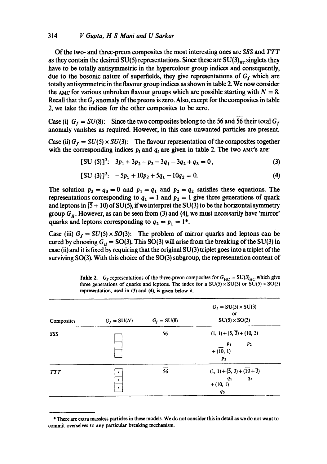## *314 V Gupta, H S Mani and U Sarkar*

Of the two- and three-preon composites the most interesting ones are *SSS and TTT*  as they contain the desired SU(5) representations. Since these are  $SU(3)<sub>HP</sub>$  singlets they have to be totally antisymmetric in the hypercolour group indices and consequently, due to the bosonic nature of superfields, they give representations of  $G_f$  which are totally antisymmetric in the flavour group indices as shown in table 2. We now consider the AMC for various unbroken flavour groups which are possible starting with  $N = 8$ . Recall that the  $G_f$  anomaly of the preons is zero. Also, except for the composites in table 2, we take the indices for the other composites to be zero.

Case (i)  $G_f = SU(8)$ : Since the two composites belong to the 56 and 56 their total  $G_f$ anomaly vanishes as required. However, in this case unwanted particles are present.

Case (ii)  $G_f = SU(5) \times SU(3)$ : The flavour representation of the composites together with the corresponding indices  $p_i$  and  $q_i$  are given in table 2. The two  $AMC's$  are:

$$
[SU(5)]^3: \quad 3p_1 + 3p_2 - p_3 - 3q_1 - 3q_2 + q_3 = 0, \tag{3}
$$

$$
[SU (3)]^3: -5p_1 + 10p_2 + 5q_1 - 10q_2 = 0. \tag{4}
$$

The solution  $p_3 = q_3 = 0$  and  $p_1 = q_1$  and  $p_2 = q_2$  satisfies these equations. The representations corresponding to  $q_1 = 1$  and  $p_2 = 1$  give three generations of quark and leptons in  $(5 + 10)$  of SU(5), if we interpret the SU(3) to be the horizontal symmetry group  $G_H$ . However, as can be seen from (3) and (4), we must necessarily have 'mirror' quarks and leptons corresponding to  $q_2 = p_1 = 1^*$ .

Case (iii)  $G_f = SU(5) \times SO(3)$ : The problem of mirror quarks and leptons can be cured by choosing  $G_H = SO(3)$ . This SO(3) will arise from the breaking of the SU(3) in case (ii) and it is fixed by requiring that the original SU(3) triplet goes into a triplet of the surviving SO(3). With this choice of the SO(3) subgroup, the representation content of

| Composites | $G_f = SU(N)$ | $G_f = SU(8)$   | $G_f = SU(5) \times SU(3)$<br>$_{\rm or}$<br>$SU(5) \times SO(3)$                          |
|------------|---------------|-----------------|--------------------------------------------------------------------------------------------|
| SSS        |               | 56              | $(1, 1) + (5, 3) + (10, 3)$<br>p <sub>2</sub><br>$\boldsymbol{p}_1$<br>$+(10, 1)$<br>$p_3$ |
| <b>TTT</b> | ٠<br>٠<br>٠   | $\overline{56}$ | $(1, 1) + (3, 3) + (10 + 3)$<br>$q_{2}$<br>$q_{1}$<br>$+(10, 1)$<br>$q_3$                  |

**Table 2.** G<sub>f</sub> representations of the three-preon composites for  $G_{HC} = SU(3)_{HC}$  which give three generations of quarks and leptons. The index for a  $SU(5) \times SU(3)$  or  $SU(5) \times SO(3)$ representation, used in (3) and (4), is given below it.

<sup>\*</sup> There are extra massless particles in these models. We do not consider this in detail as we do not want to commit overselves to any particular breaking mechanism.